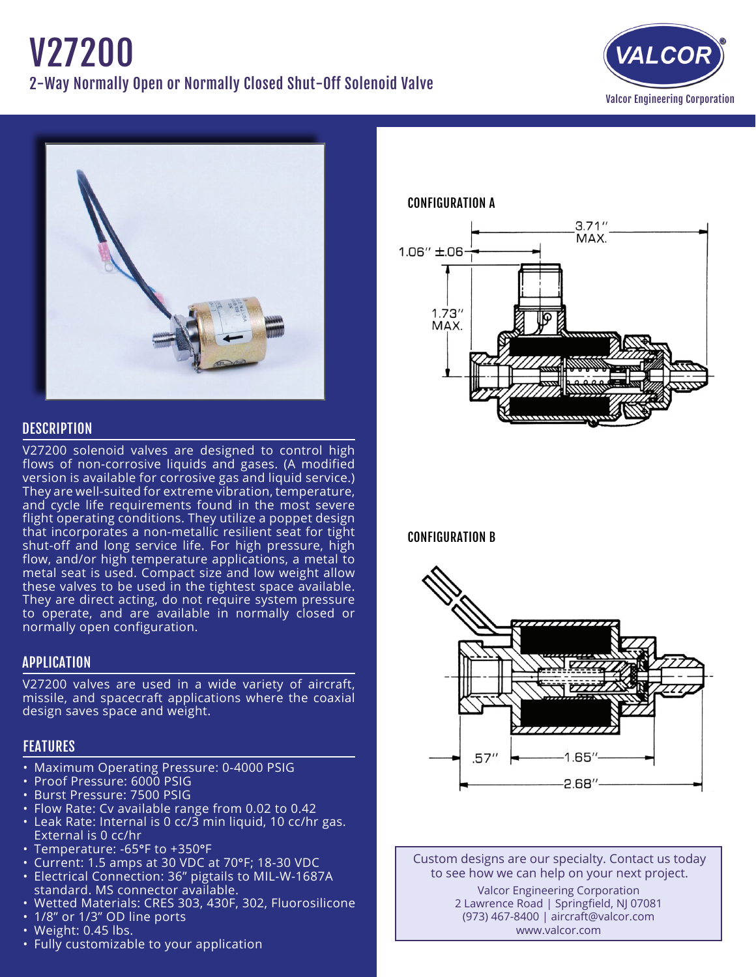



# **DESCRIPTION**

V27200 solenoid valves are designed to control high flows of non-corrosive liquids and gases. (A modified version is available for corrosive gas and liquid service.) They are well-suited for extreme vibration, temperature, and cycle life requirements found in the most severe flight operating conditions. They utilize a poppet design that incorporates a non-metallic resilient seat for tight shut-off and long service life. For high pressure, high flow, and/or high temperature applications, a metal to metal seat is used. Compact size and low weight allow these valves to be used in the tightest space available. They are direct acting, do not require system pressure to operate, and are available in normally closed or normally open configuration.

## APPLICATION

V27200 valves are used in a wide variety of aircraft, missile, and spacecraft applications where the coaxial design saves space and weight.

# FEATURES

- Maximum Operating Pressure: 0-4000 PSIG
- Proof Pressure: 6000 PSIG
- • Burst Pressure: 7500 PSIG
- Flow Rate: Cv available range from 0.02 to 0.42
- $\cdot$  Leak Rate: Internal is 0 cc/3 min liquid, 10 cc/hr gas. External is 0 cc/hr
- Temperature: -65°F to +350°F
- • Current: 1.5 amps at 30 VDC at 70°F; 18-30 VDC
- Electrical Connection: 36" pigtails to MIL-W-1687A standard. MS connector available.
- • Wetted Materials: CRES 303, 430F, 302, Fluorosilicone
- 1/8" or 1/3" OD line ports
- Weight: 0.45 lbs.
- Fully customizable to your application

CONFIGURATION A



CONFIGURATION B



Custom designs are our specialty. Contact us today to see how we can help on your next project. Valcor Engineering Corporation 2 Lawrence Road | Springfield, NJ 07081 (973) 467-8400 | aircraft@valcor.com www.valcor.com